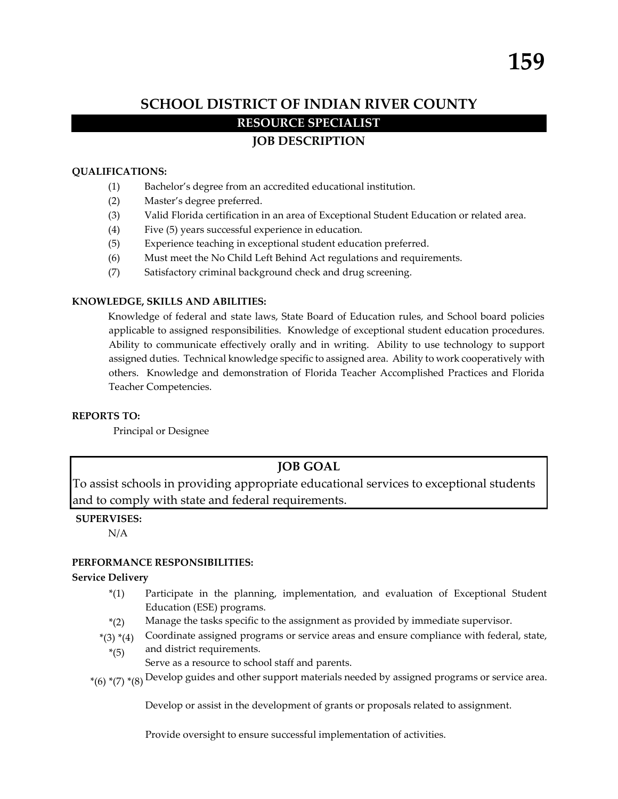# **SCHOOL DISTRICT OF INDIAN RIVER COUNTY RESOURCE SPECIALIST**

# **JOB DESCRIPTION**

# **QUALIFICATIONS:**

- (1) Bachelor's degree from an accredited educational institution.
- (2) Master's degree preferred.
- (3) Valid Florida certification in an area of Exceptional Student Education or related area.
- (4) Five (5) years successful experience in education.
- (5) Experience teaching in exceptional student education preferred.
- (6) Must meet the No Child Left Behind Act regulations and requirements.
- (7) Satisfactory criminal background check and drug screening.

# **KNOWLEDGE, SKILLS AND ABILITIES:**

Knowledge of federal and state laws, State Board of Education rules, and School board policies applicable to assigned responsibilities. Knowledge of exceptional student education procedures. Ability to communicate effectively orally and in writing. Ability to use technology to support assigned duties. Technical knowledge specific to assigned area. Ability to work cooperatively with others. Knowledge and demonstration of Florida Teacher Accomplished Practices and Florida Teacher Competencies.

## **REPORTS TO:**

Principal or Designee

# **JOB GOAL**

To assist schools in providing appropriate educational services to exceptional students and to comply with state and federal requirements.

## **SUPERVISES:**

N/A

## **PERFORMANCE RESPONSIBILITIES:**

## **Service Delivery**

- \*(1) Participate in the planning, implementation, and evaluation of Exceptional Student Education (ESE) programs.
- $*(2)$ Manage the tasks specific to the assignment as provided by immediate supervisor.
- $*(3) * (4)$ Coordinate assigned programs or service areas and ensure compliance with federal, state,
	- \*(5) and district requirements.
		- Serve as a resource to school staff and parents.
- $^*(6)$   $^*(7)$   $^*(8)$   $\hbox{Develop guides and other support materials needed by assigned programs or service area.}$

Develop or assist in the development of grants or proposals related to assignment.

Provide oversight to ensure successful implementation of activities.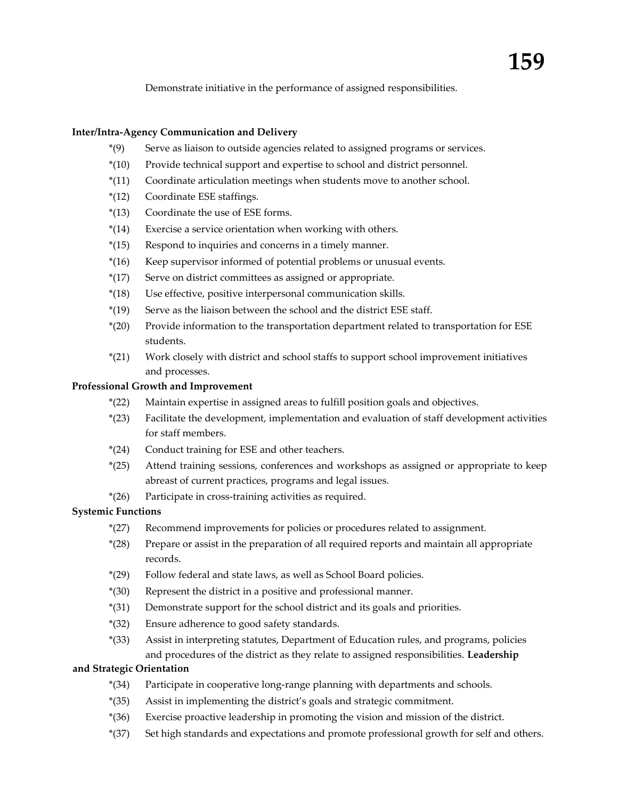Demonstrate initiative in the performance of assigned responsibilities.

#### **Inter/Intra‐Agency Communication and Delivery**

- \*(9) Serve as liaison to outside agencies related to assigned programs or services.
- \*(10) Provide technical support and expertise to school and district personnel.
- \*(11) Coordinate articulation meetings when students move to another school.
- \*(12) Coordinate ESE staffings.
- \*(13) Coordinate the use of ESE forms.
- \*(14) Exercise a service orientation when working with others.
- \*(15) Respond to inquiries and concerns in a timely manner.
- \*(16) Keep supervisor informed of potential problems or unusual events.
- \*(17) Serve on district committees as assigned or appropriate.
- \*(18) Use effective, positive interpersonal communication skills.
- \*(19) Serve as the liaison between the school and the district ESE staff.
- \*(20) Provide information to the transportation department related to transportation for ESE students.
- \*(21) Work closely with district and school staffs to support school improvement initiatives and processes.

#### **Professional Growth and Improvement**

- \*(22) Maintain expertise in assigned areas to fulfill position goals and objectives.
- \*(23) Facilitate the development, implementation and evaluation of staff development activities for staff members.
- \*(24) Conduct training for ESE and other teachers.
- \*(25) Attend training sessions, conferences and workshops as assigned or appropriate to keep abreast of current practices, programs and legal issues.
- \*(26) Participate in cross‐training activities as required.

# **Systemic Functions**

- \*(27) Recommend improvements for policies or procedures related to assignment.
- \*(28) Prepare or assist in the preparation of all required reports and maintain all appropriate records.
- \*(29) Follow federal and state laws, as well as School Board policies.
- \*(30) Represent the district in a positive and professional manner.
- \*(31) Demonstrate support for the school district and its goals and priorities.
- \*(32) Ensure adherence to good safety standards.
- \*(33) Assist in interpreting statutes, Department of Education rules, and programs, policies and procedures of the district as they relate to assigned responsibilities. **Leadership**

#### **and Strategic Orientation**

- \*(34) Participate in cooperative long‐range planning with departments and schools.
- \*(35) Assist in implementing the district's goals and strategic commitment.
- \*(36) Exercise proactive leadership in promoting the vision and mission of the district.
- \*(37) Set high standards and expectations and promote professional growth for self and others.